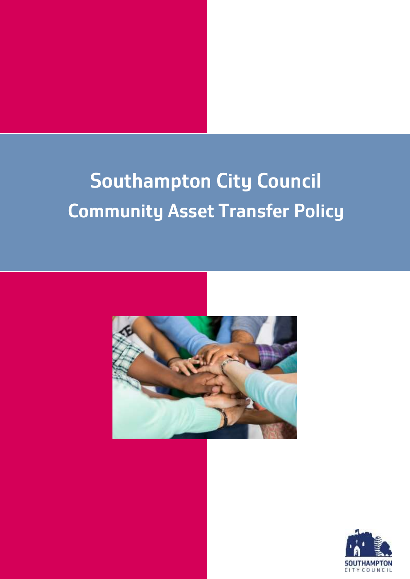# **Southampton City Council Community Asset Transfer Policy**



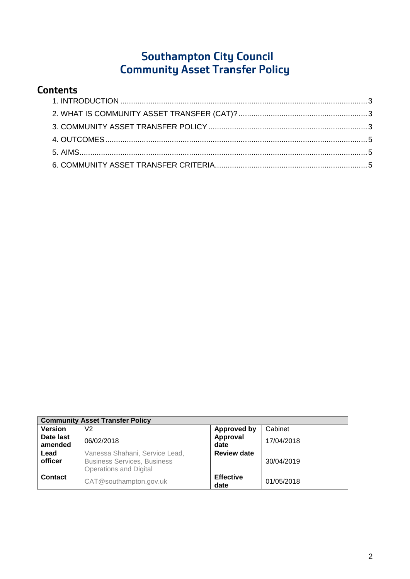# **Southampton City Council Community Asset Transfer Policy**

## **Contents**

| <b>Community Asset Transfer Policy</b> |                                                                                                       |                          |            |  |  |
|----------------------------------------|-------------------------------------------------------------------------------------------------------|--------------------------|------------|--|--|
| <b>Version</b>                         | V2                                                                                                    | <b>Approved by</b>       | Cabinet    |  |  |
| Date last<br>amended                   | 06/02/2018                                                                                            | Approval<br>date         | 17/04/2018 |  |  |
| Lead<br>officer                        | Vanessa Shahani, Service Lead,<br><b>Business Services, Business</b><br><b>Operations and Digital</b> | <b>Review date</b>       | 30/04/2019 |  |  |
| Contact                                | CAT@southampton.gov.uk                                                                                | <b>Effective</b><br>date | 01/05/2018 |  |  |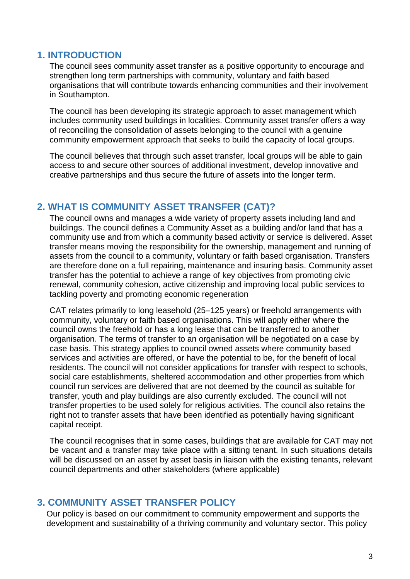#### <span id="page-2-0"></span>**1. INTRODUCTION**

The council sees community asset transfer as a positive opportunity to encourage and strengthen long term partnerships with community, voluntary and faith based organisations that will contribute towards enhancing communities and their involvement in Southampton.

The council has been developing its strategic approach to asset management which includes community used buildings in localities. Community asset transfer offers a way of reconciling the consolidation of assets belonging to the council with a genuine community empowerment approach that seeks to build the capacity of local groups.

The council believes that through such asset transfer, local groups will be able to gain access to and secure other sources of additional investment, develop innovative and creative partnerships and thus secure the future of assets into the longer term.

## <span id="page-2-1"></span>**2. WHAT IS COMMUNITY ASSET TRANSFER (CAT)?**

The council owns and manages a wide variety of property assets including land and buildings. The council defines a Community Asset as a building and/or land that has a community use and from which a community based activity or service is delivered. Asset transfer means moving the responsibility for the ownership, management and running of assets from the council to a community, voluntary or faith based organisation. Transfers are therefore done on a full repairing, maintenance and insuring basis. Community asset transfer has the potential to achieve a range of key objectives from promoting civic renewal, community cohesion, active citizenship and improving local public services to tackling poverty and promoting economic regeneration

CAT relates primarily to long leasehold (25–125 years) or freehold arrangements with community, voluntary or faith based organisations. This will apply either where the council owns the freehold or has a long lease that can be transferred to another organisation. The terms of transfer to an organisation will be negotiated on a case by case basis. This strategy applies to council owned assets where community based services and activities are offered, or have the potential to be, for the benefit of local residents. The council will not consider applications for transfer with respect to schools, social care establishments, sheltered accommodation and other properties from which council run services are delivered that are not deemed by the council as suitable for transfer, youth and play buildings are also currently excluded. The council will not transfer properties to be used solely for religious activities. The council also retains the right not to transfer assets that have been identified as potentially having significant capital receipt.

The council recognises that in some cases, buildings that are available for CAT may not be vacant and a transfer may take place with a sitting tenant. In such situations details will be discussed on an asset by asset basis in liaison with the existing tenants, relevant council departments and other stakeholders (where applicable)

#### <span id="page-2-2"></span>**3. COMMUNITY ASSET TRANSFER POLICY**

Our policy is based on our commitment to community empowerment and supports the development and sustainability of a thriving community and voluntary sector. This policy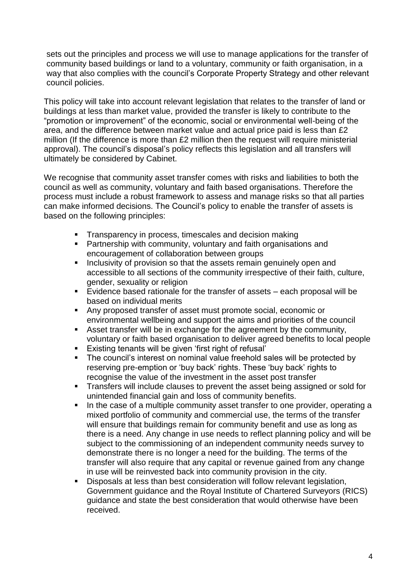sets out the principles and process we will use to manage applications for the transfer of community based buildings or land to a voluntary, community or faith organisation, in a way that also complies with the council's Corporate Property Strategy and other relevant council policies.

This policy will take into account relevant legislation that relates to the transfer of land or buildings at less than market value, provided the transfer is likely to contribute to the "promotion or improvement" of the economic, social or environmental well-being of the area, and the difference between market value and actual price paid is less than £2 million (If the difference is more than £2 million then the request will require ministerial approval). The council's disposal's policy reflects this legislation and all transfers will ultimately be considered by Cabinet.

We recognise that community asset transfer comes with risks and liabilities to both the council as well as community, voluntary and faith based organisations. Therefore the process must include a robust framework to assess and manage risks so that all parties can make informed decisions. The Council's policy to enable the transfer of assets is based on the following principles:

- **Transparency in process, timescales and decision making**
- Partnership with community, voluntary and faith organisations and encouragement of collaboration between groups
- **Inclusivity of provision so that the assets remain genuinely open and** accessible to all sections of the community irrespective of their faith, culture, gender, sexuality or religion
- Evidence based rationale for the transfer of assets each proposal will be based on individual merits
- Any proposed transfer of asset must promote social, economic or environmental wellbeing and support the aims and priorities of the council
- Asset transfer will be in exchange for the agreement by the community, voluntary or faith based organisation to deliver agreed benefits to local people
- Existing tenants will be given 'first right of refusal'
- The council's interest on nominal value freehold sales will be protected by reserving pre-emption or 'buy back' rights. These 'buy back' rights to recognise the value of the investment in the asset post transfer
- Transfers will include clauses to prevent the asset being assigned or sold for unintended financial gain and loss of community benefits.
- In the case of a multiple community asset transfer to one provider, operating a mixed portfolio of community and commercial use, the terms of the transfer will ensure that buildings remain for community benefit and use as long as there is a need. Any change in use needs to reflect planning policy and will be subject to the commissioning of an independent community needs survey to demonstrate there is no longer a need for the building. The terms of the transfer will also require that any capital or revenue gained from any change in use will be reinvested back into community provision in the city.
- Disposals at less than best consideration will follow relevant legislation, Government guidance and the Royal Institute of Chartered Surveyors (RICS) guidance and state the best consideration that would otherwise have been received.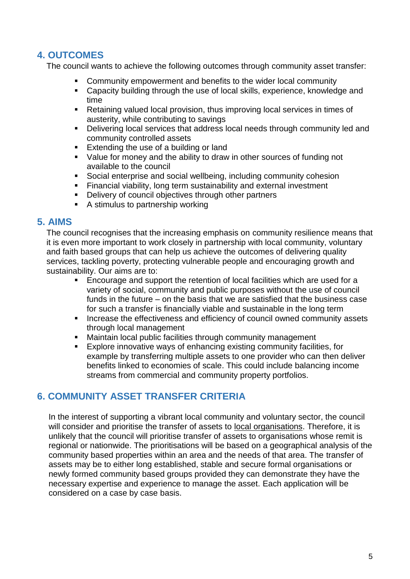### <span id="page-4-0"></span>**4. OUTCOMES**

The council wants to achieve the following outcomes through community asset transfer:

- Community empowerment and benefits to the wider local community
- Capacity building through the use of local skills, experience, knowledge and time
- Retaining valued local provision, thus improving local services in times of austerity, while contributing to savings
- **Delivering local services that address local needs through community led and** community controlled assets
- Extending the use of a building or land
- Value for money and the ability to draw in other sources of funding not available to the council
- Social enterprise and social wellbeing, including community cohesion
- Financial viability, long term sustainability and external investment
- Delivery of council objectives through other partners
- A stimulus to partnership working

#### <span id="page-4-1"></span>**5. AIMS**

The council recognises that the increasing emphasis on community resilience means that it is even more important to work closely in partnership with local community, voluntary and faith based groups that can help us achieve the outcomes of delivering quality services, tackling poverty, protecting vulnerable people and encouraging growth and sustainability. Our aims are to:

- Encourage and support the retention of local facilities which are used for a variety of social, community and public purposes without the use of council funds in the future – on the basis that we are satisfied that the business case for such a transfer is financially viable and sustainable in the long term
- **Increase the effectiveness and efficiency of council owned community assets** through local management
- Maintain local public facilities through community management
- Explore innovative ways of enhancing existing community facilities, for example by transferring multiple assets to one provider who can then deliver benefits linked to economies of scale. This could include balancing income streams from commercial and community property portfolios.

#### <span id="page-4-2"></span>**6. COMMUNITY ASSET TRANSFER CRITERIA**

In the interest of supporting a vibrant local community and voluntary sector, the council will consider and prioritise the transfer of assets to local organisations. Therefore, it is unlikely that the council will prioritise transfer of assets to organisations whose remit is regional or nationwide. The prioritisations will be based on a geographical analysis of the community based properties within an area and the needs of that area. The transfer of assets may be to either long established, stable and secure formal organisations or newly formed community based groups provided they can demonstrate they have the necessary expertise and experience to manage the asset. Each application will be considered on a case by case basis.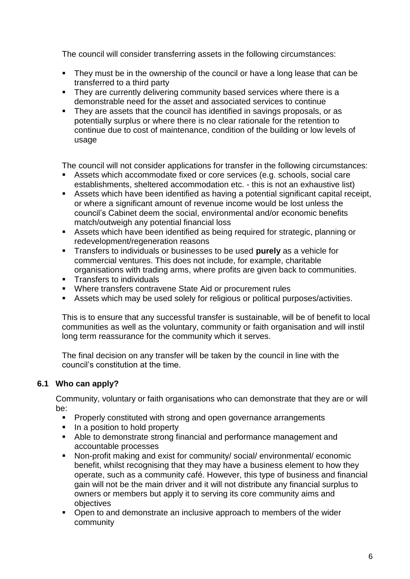The council will consider transferring assets in the following circumstances:

- They must be in the ownership of the council or have a long lease that can be transferred to a third party
- They are currently delivering community based services where there is a demonstrable need for the asset and associated services to continue
- They are assets that the council has identified in savings proposals, or as potentially surplus or where there is no clear rationale for the retention to continue due to cost of maintenance, condition of the building or low levels of usage

The council will not consider applications for transfer in the following circumstances:

- Assets which accommodate fixed or core services (e.g. schools, social care establishments, sheltered accommodation etc. - this is not an exhaustive list)
- Assets which have been identified as having a potential significant capital receipt, or where a significant amount of revenue income would be lost unless the council's Cabinet deem the social, environmental and/or economic benefits match/outweigh any potential financial loss
- Assets which have been identified as being required for strategic, planning or redevelopment/regeneration reasons
- Transfers to individuals or businesses to be used **purely** as a vehicle for commercial ventures. This does not include, for example, charitable organisations with trading arms, where profits are given back to communities.
- **Transfers to individuals**
- Where transfers contravene State Aid or procurement rules
- Assets which may be used solely for religious or political purposes/activities.

This is to ensure that any successful transfer is sustainable, will be of benefit to local communities as well as the voluntary, community or faith organisation and will instil long term reassurance for the community which it serves.

The final decision on any transfer will be taken by the council in line with the council's constitution at the time.

#### **6.1 Who can apply?**

Community, voluntary or faith organisations who can demonstrate that they are or will be:

- **Properly constituted with strong and open governance arrangements**
- $\blacksquare$  In a position to hold property
- Able to demonstrate strong financial and performance management and accountable processes
- Non-profit making and exist for community/ social/ environmental/ economic benefit, whilst recognising that they may have a business element to how they operate, such as a community café. However, this type of business and financial gain will not be the main driver and it will not distribute any financial surplus to owners or members but apply it to serving its core community aims and objectives
- Open to and demonstrate an inclusive approach to members of the wider community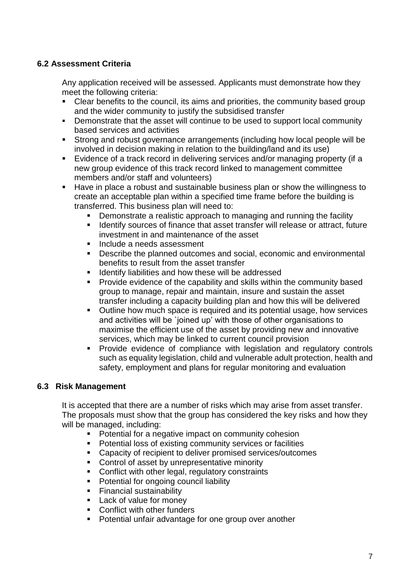#### **6.2 Assessment Criteria**

Any application received will be assessed. Applicants must demonstrate how they meet the following criteria:

- Clear benefits to the council, its aims and priorities, the community based group and the wider community to justify the subsidised transfer
- Demonstrate that the asset will continue to be used to support local community based services and activities
- Strong and robust governance arrangements (including how local people will be involved in decision making in relation to the building/land and its use)
- Evidence of a track record in delivering services and/or managing property (if a new group evidence of this track record linked to management committee members and/or staff and volunteers)
- Have in place a robust and sustainable business plan or show the willingness to create an acceptable plan within a specified time frame before the building is transferred. This business plan will need to:
	- Demonstrate a realistic approach to managing and running the facility
	- **If Identify sources of finance that asset transfer will release or attract, future** investment in and maintenance of the asset
	- **Include a needs assessment**
	- **Describe the planned outcomes and social, economic and environmental** benefits to result from the asset transfer
	- **If Identify liabilities and how these will be addressed**
	- **Provide evidence of the capability and skills within the community based** group to manage, repair and maintain, insure and sustain the asset transfer including a capacity building plan and how this will be delivered
	- Outline how much space is required and its potential usage, how services and activities will be `ioined up' with those of other organisations to maximise the efficient use of the asset by providing new and innovative services, which may be linked to current council provision
	- **Provide evidence of compliance with legislation and regulatory controls** such as equality legislation, child and vulnerable adult protection, health and safety, employment and plans for regular monitoring and evaluation

#### **6.3 Risk Management**

It is accepted that there are a number of risks which may arise from asset transfer. The proposals must show that the group has considered the key risks and how they will be managed, including:

- **Potential for a negative impact on community cohesion**
- **•** Potential loss of existing community services or facilities
- Capacity of recipient to deliver promised services/outcomes
- **Control of asset by unrepresentative minority**
- **Conflict with other legal, regulatory constraints**
- **Potential for ongoing council liability**
- **Financial sustainability**
- Lack of value for money
- Conflict with other funders
- **Potential unfair advantage for one group over another**